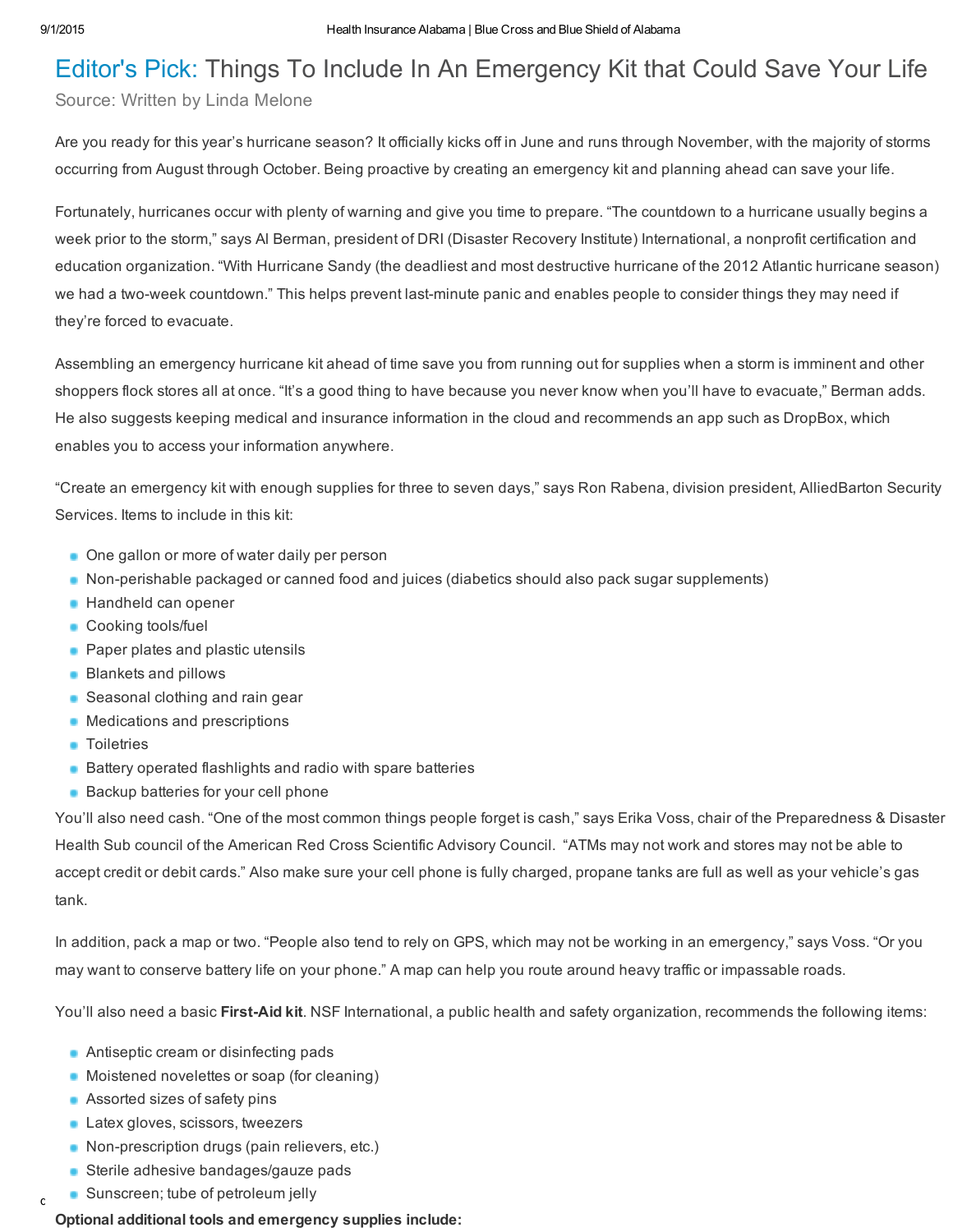# Editor's Pick: Things To Include In An Emergency Kit that Could Save Your Life

## Source: Written by Linda Melone

Are you ready for this year's hurricane season? It officially kicks off in June and runs through November, with the majority of storms occurring from August through October. Being proactive by creating an emergency kit and planning ahead can save your life.

Fortunately, hurricanes occur with plenty of warning and give you time to prepare. "The countdown to a hurricane usually begins a week prior to the storm," says Al Berman, president of DRI (Disaster Recovery Institute) International, a nonprofit certification and education organization. "With Hurricane Sandy (the deadliest and most destructive hurricane of the 2012 Atlantic hurricane season) we had a two-week countdown." This helps prevent last-minute panic and enables people to consider things they may need if they're forced to evacuate.

Assembling an emergency hurricane kit ahead of time save you from running out for supplies when a storm is imminent and other shoppers flock stores all at once. "It's a good thing to have because you never know when you'll have to evacuate," Berman adds. He also suggests keeping medical and insurance information in the cloud and recommends an app such as DropBox, which enables you to access your information anywhere.

"Create an emergency kit with enough supplies for three to seven days," says Ron Rabena, division president, AlliedBarton Security Services. Items to include in this kit:

- One gallon or more of water daily per person
- Non-perishable packaged or canned food and juices (diabetics should also pack sugar supplements)
- **Handheld can opener**
- **Cooking tools/fuel**
- **Paper plates and plastic utensils**
- **Blankets and pillows**
- **Seasonal clothing and rain gear**
- Medications and prescriptions
- **Toiletries**
- **Battery operated flashlights and radio with spare batteries**
- **Backup batteries for your cell phone**

You'll also need cash. "One of the most common things people forget is cash," says Erika Voss, chair of the Preparedness & Disaster Health Sub council of the American Red Cross Scientific Advisory Council. "ATMs may not work and stores may not be able to accept credit or debit cards." Also make sure your cell phone is fully charged, propane tanks are full as well as your vehicle's gas tank.

In addition, pack a map or two. "People also tend to rely on GPS, which may not be working in an emergency," says Voss. "Or you may want to conserve battery life on your phone." A map can help you route around heavy traffic or impassable roads.

You'll also need a basic First-Aid kit. NSF International, a public health and safety organization, recommends the following items:

- **Antiseptic cream or disinfecting pads**
- Moistened novelettes or soap (for cleaning)
- **Assorted sizes of safety pins**
- **Latex gloves, scissors, tweezers**
- Non-prescription drugs (pain relievers, etc.)
- **Sterile adhesive bandages/gauze pads**
- charset East 20cheader 20class 3D and 20 class 3D and 20 class 3D and 2010 px 2010 px 2010 px 3A 2010 px 3A 20<br>Compared 2010 px 3A 3D and 3A 2010 px 3A 3D and 3A 3D and 3A 3D and 3A 3D and 3A 3D and 3A 3D and 3A 3D and 3A

### Optional additional tools and emergency supplies include: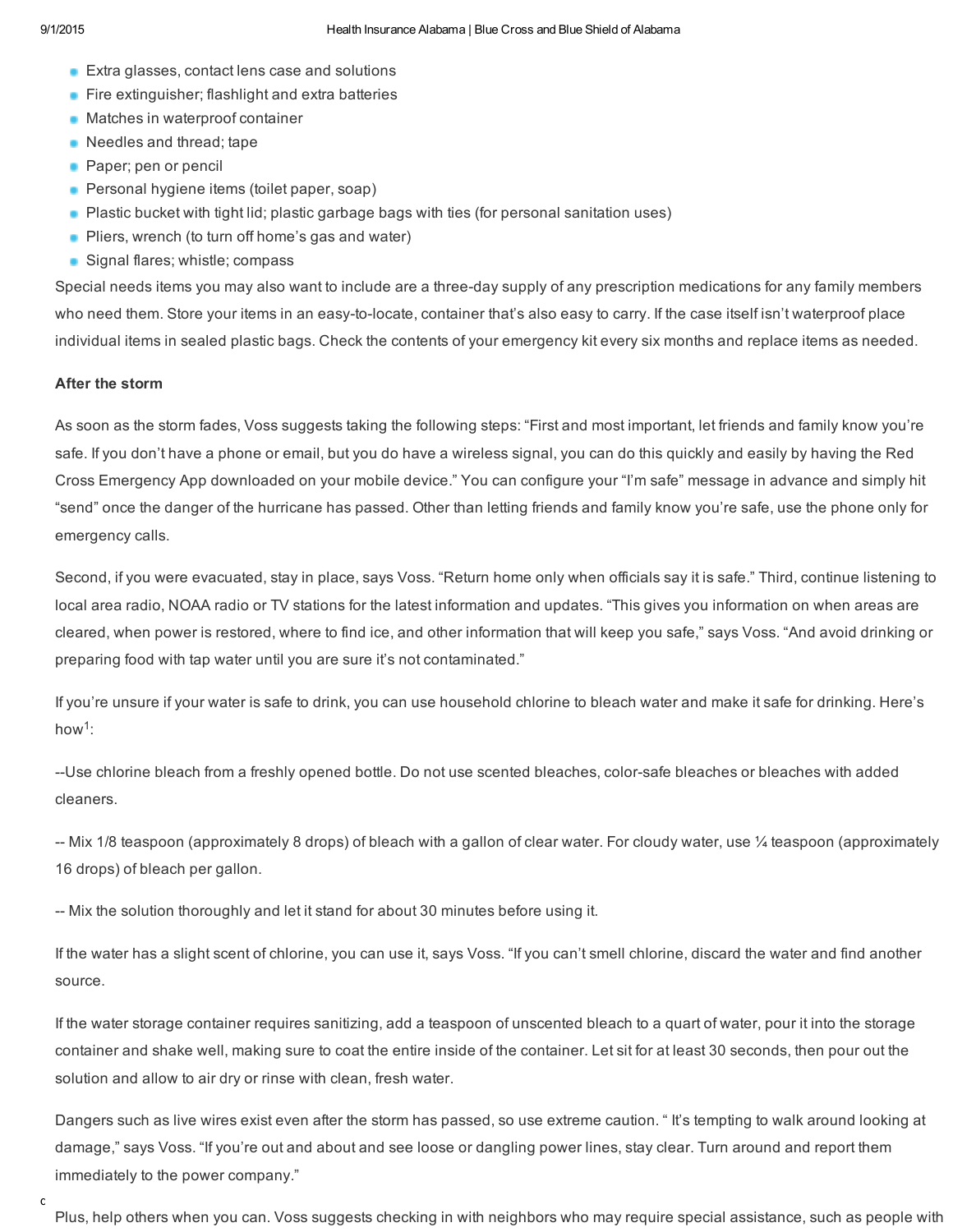- **Extra glasses, contact lens case and solutions**
- **Fire extinguisher; flashlight and extra batteries**
- **Matches in waterproof container**
- Needles and thread; tape
- **Paper**; pen or pencil
- **Personal hygiene items (toilet paper, soap)**
- Plastic bucket with tight lid; plastic garbage bags with ties (for personal sanitation uses)
- **Pliers, wrench (to turn off home's gas and water)**
- Signal flares; whistle; compass

Special needs items you may also want to include are a three-day supply of any prescription medications for any family members who need them. Store your items in an easy-to-locate, container that's also easy to carry. If the case itself isn't waterproof place individual items in sealed plastic bags. Check the contents of your emergency kit every six months and replace items as needed.

#### After the storm

As soon as the storm fades, Voss suggests taking the following steps: "First and most important, let friends and family know you're safe. If you don't have a phone or email, but you do have a wireless signal, you can do this quickly and easily by having the Red Cross Emergency App downloaded on your mobile device." You can configure your "I'm safe" message in advance and simply hit "send" once the danger of the hurricane has passed. Other than letting friends and family know you're safe, use the phone only for emergency calls.

Second, if you were evacuated, stay in place, says Voss. "Return home only when officials say it is safe." Third, continue listening to local area radio, NOAA radio or TV stations for the latest information and updates. "This gives you information on when areas are cleared, when power is restored, where to find ice, and other information that will keep you safe," says Voss. "And avoid drinking or preparing food with tap water until you are sure it's not contaminated."

If you're unsure if your water is safe to drink, you can use household chlorine to bleach water and make it safe for drinking. Here's how<sup>1</sup>:

--Use chlorine bleach from a freshly opened bottle. Do not use scented bleaches, color-safe bleaches or bleaches with added cleaners.

-- Mix 1/8 teaspoon (approximately 8 drops) of bleach with a gallon of clear water. For cloudy water, use  $\frac{1}{4}$  teaspoon (approximately 16 drops) of bleach per gallon.

Mix the solution thoroughly and let it stand for about 30 minutes before using it.

If the water has a slight scent of chlorine, you can use it, says Voss. "If you can't smell chlorine, discard the water and find another source.

If the water storage container requires sanitizing, add a teaspoon of unscented bleach to a quart of water, pour it into the storage container and shake well, making sure to coat the entire inside of the container. Let sit for at least 30 seconds, then pour out the solution and allow to air dry or rinse with clean, fresh water.

Dangers such as live wires exist even after the storm has passed, so use extreme caution. " It's tempting to walk around looking at damage," says Voss. "If you're out and about and see loose or dangling power lines, stay clear. Turn around and report them immediately to the power company."

Plus, help others when you can. Voss suggests checking in with neighbors who may require special assistance, such as people with

 $\mathbf{C}$